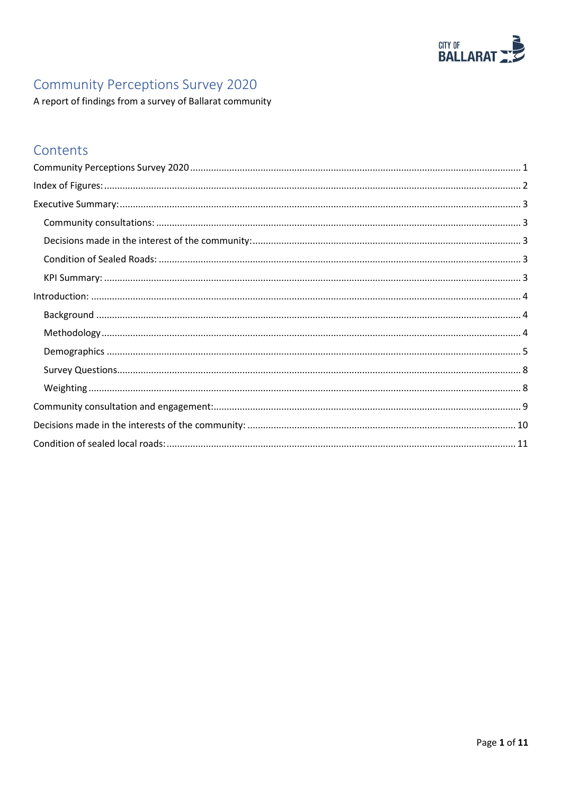

# <span id="page-0-0"></span>Community Perceptions Survey 2020

A report of findings from a survey of Ballarat community

# Contents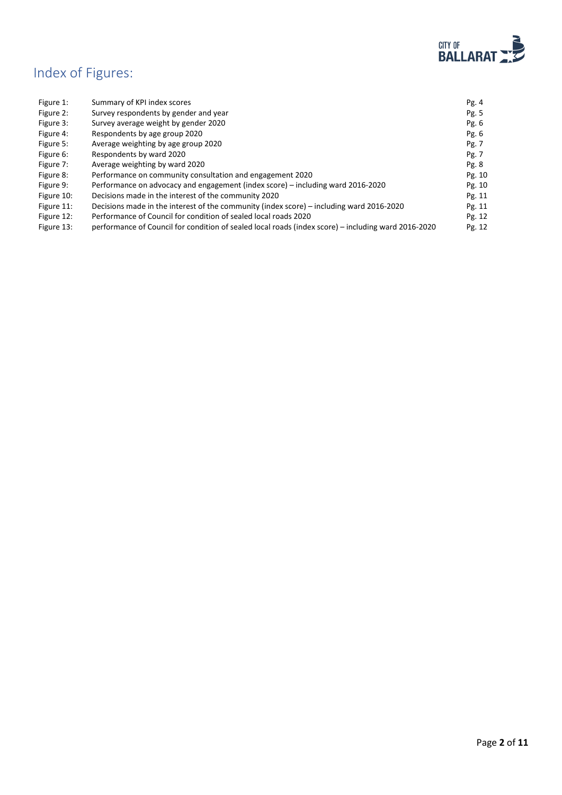

# <span id="page-1-0"></span>Index of Figures:

| Figure 1:  | Summary of KPI index scores                                                                         | Pg.4    |
|------------|-----------------------------------------------------------------------------------------------------|---------|
| Figure 2:  | Survey respondents by gender and year                                                               | Pg. 5   |
| Figure 3:  | Survey average weight by gender 2020                                                                | Pg. $6$ |
| Figure 4:  | Respondents by age group 2020                                                                       | Pg. $6$ |
| Figure 5:  | Average weighting by age group 2020                                                                 | Pg. 7   |
| Figure 6:  | Respondents by ward 2020                                                                            | Pg. 7   |
| Figure 7:  | Average weighting by ward 2020                                                                      | Pg. 8   |
| Figure 8:  | Performance on community consultation and engagement 2020                                           | Pg. 10  |
| Figure 9:  | Performance on advocacy and engagement (index score) – including ward 2016-2020                     | Pg. 10  |
| Figure 10: | Decisions made in the interest of the community 2020                                                | Pg. 11  |
| Figure 11: | Decisions made in the interest of the community (index score) – including ward 2016-2020            | Pg. 11  |
| Figure 12: | Performance of Council for condition of sealed local roads 2020                                     | Pg. 12  |
| Figure 13: | performance of Council for condition of sealed local roads (index score) – including ward 2016-2020 | Pg. 12  |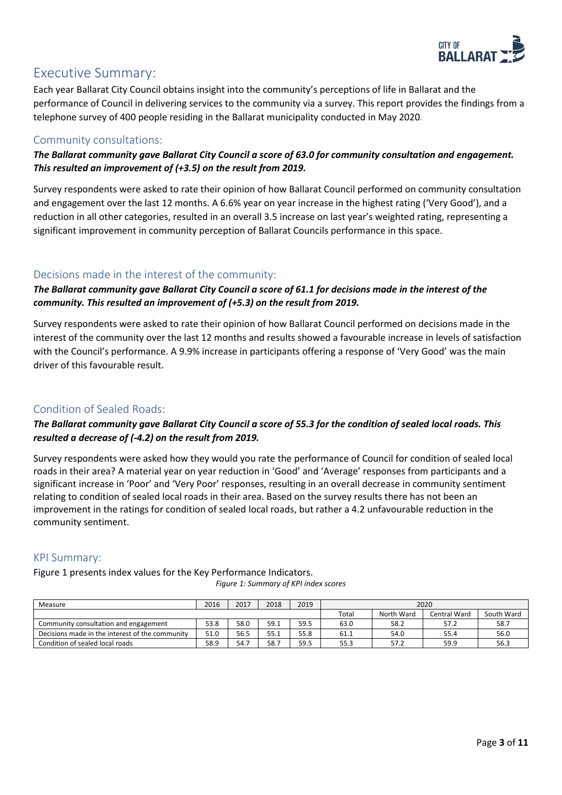

## <span id="page-2-0"></span>Executive Summary:

Each year Ballarat City Council obtains insight into the community's perceptions of life in Ballarat and the performance of Council in delivering services to the community via a survey. This report provides the findings from a telephone survey of 400 people residing in the Ballarat municipality conducted in May 2020*.*

### <span id="page-2-1"></span>Community consultations:

*The Ballarat community gave Ballarat City Council a score of 63.0 for community consultation and engagement. This resulted an improvement of (+3.5) on the result from 2019.*

Survey respondents were asked to rate their opinion of how Ballarat Council performed on community consultation and engagement over the last 12 months. A 6.6% year on year increase in the highest rating ('Very Good'), and a reduction in all other categories, resulted in an overall 3.5 increase on last year's weighted rating, representing a significant improvement in community perception of Ballarat Councils performance in this space.

### <span id="page-2-2"></span>Decisions made in the interest of the community:

*The Ballarat community gave Ballarat City Council a score of 61.1 for decisions made in the interest of the community. This resulted an improvement of (+5.3) on the result from 2019.*

Survey respondents were asked to rate their opinion of how Ballarat Council performed on decisions made in the interest of the community over the last 12 months and results showed a favourable increase in levels of satisfaction with the Council's performance. A 9.9% increase in participants offering a response of 'Very Good' was the main driver of this favourable result.

### <span id="page-2-3"></span>Condition of Sealed Roads:

#### *The Ballarat community gave Ballarat City Council a score of 55.3 for the condition of sealed local roads. This resulted a decrease of (-4.2) on the result from 2019.*

Survey respondents were asked how they would you rate the performance of Council for condition of sealed local roads in their area? A material year on year reduction in 'Good' and 'Average' responses from participants and a significant increase in 'Poor' and 'Very Poor' responses, resulting in an overall decrease in community sentiment relating to condition of sealed local roads in their area. Based on the survey results there has not been an improvement in the ratings for condition of sealed local roads, but rather a 4.2 unfavourable reduction in the community sentiment.

#### <span id="page-2-4"></span>KPI Summary:

Figure 1 presents index values for the Key Performance Indicators.

*Figure 1: Summary of KPI index scores*

| Measure                                         | 2016 | 2017 | 2018 | 2019 | 2020  |            |              |            |
|-------------------------------------------------|------|------|------|------|-------|------------|--------------|------------|
|                                                 |      |      |      |      | Total | North Ward | Central Ward | South Ward |
| Community consultation and engagement           | 53.8 | 58.0 | 59.1 | 59.5 | 63.0  | 58.2       | 57.2         | 58.7       |
| Decisions made in the interest of the community | 51.0 | 56.5 | 55.1 | 55.8 | 61.1  | 54.0       | 55.4         | 56.0       |
| Condition of sealed local roads                 | 58.9 | 54.7 | 58.7 | 59.5 | 55.3  | 57.2       | 59.9         | 56.3       |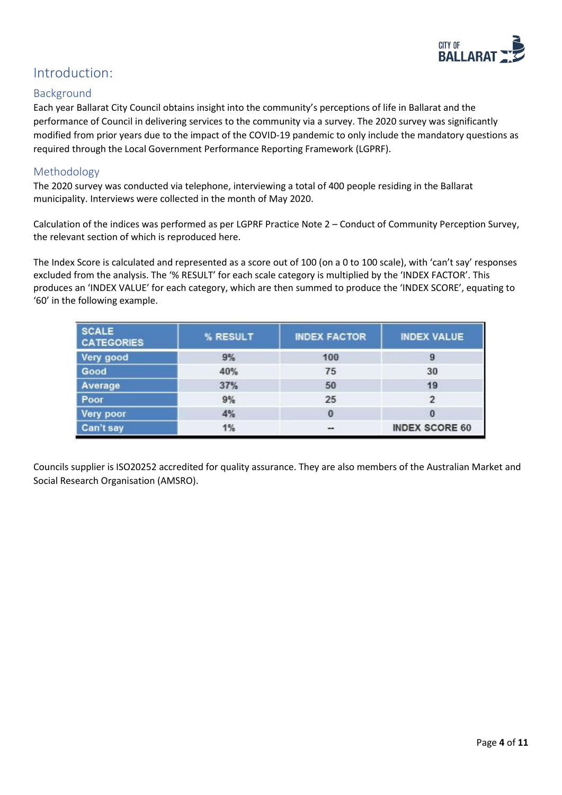

## <span id="page-3-0"></span>Introduction:

#### <span id="page-3-1"></span>Background

Each year Ballarat City Council obtains insight into the community's perceptions of life in Ballarat and the performance of Council in delivering services to the community via a survey. The 2020 survey was significantly modified from prior years due to the impact of the COVID-19 pandemic to only include the mandatory questions as required through the Local Government Performance Reporting Framework (LGPRF).

#### <span id="page-3-2"></span>Methodology

The 2020 survey was conducted via telephone, interviewing a total of 400 people residing in the Ballarat municipality. Interviews were collected in the month of May 2020.

Calculation of the indices was performed as per LGPRF Practice Note 2 – Conduct of Community Perception Survey, the relevant section of which is reproduced here.

The Index Score is calculated and represented as a score out of 100 (on a 0 to 100 scale), with 'can't say' responses excluded from the analysis. The '% RESULT' for each scale category is multiplied by the 'INDEX FACTOR'. This produces an 'INDEX VALUE' for each category, which are then summed to produce the 'INDEX SCORE', equating to '60' in the following example.

| <b>SCALE</b><br><b>CATEGORIES</b> | % RESULT | <b>INDEX FACTOR</b> | <b>INDEX VALUE</b>    |
|-----------------------------------|----------|---------------------|-----------------------|
| Very good                         | 9%       | 100                 | 9                     |
| Good                              | 40%      | 75                  | 30                    |
| Average                           | 37%      | 50                  | 19                    |
| Poor                              | 9%       | 25                  | 2                     |
| Very poor                         | 4%       | $\bf{0}$            | $\bf{0}$              |
| Can't say                         | 1%       | $\cdots$            | <b>INDEX SCORE 60</b> |

Councils supplier is ISO20252 accredited for quality assurance. They are also members of the Australian Market and Social Research Organisation (AMSRO).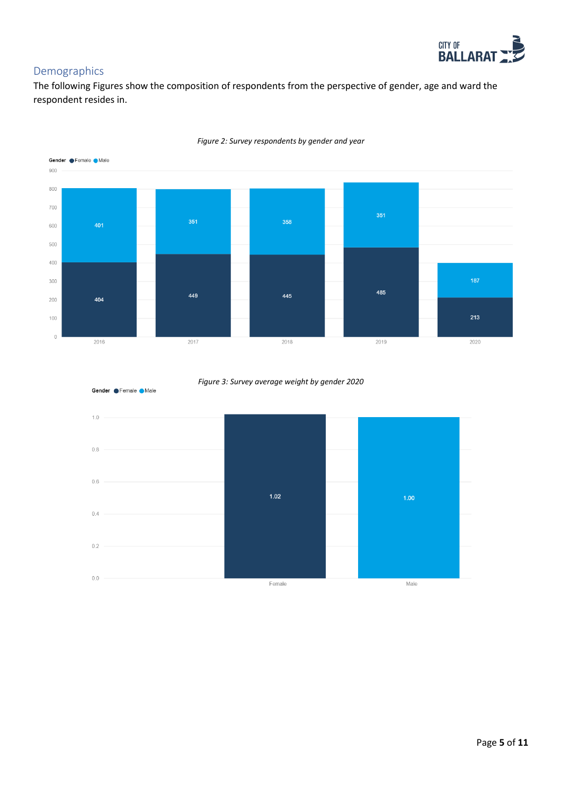

### <span id="page-4-0"></span>Demographics

The following Figures show the composition of respondents from the perspective of gender, age and ward the respondent resides in.



*Figure 2: Survey respondents by gender and year*



#### *Figure 3: Survey average weight by gender 2020*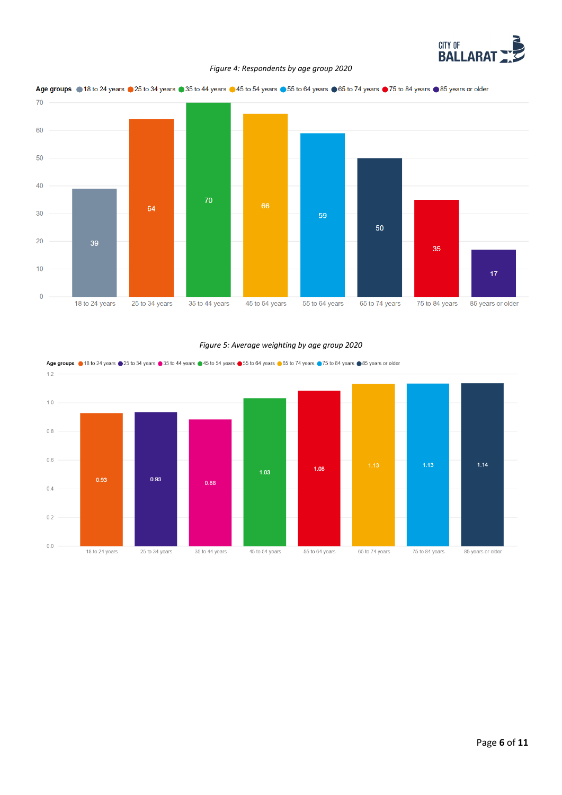

#### *Figure 4: Respondents by age group 2020*





#### *Figure 5: Average weighting by age group 2020*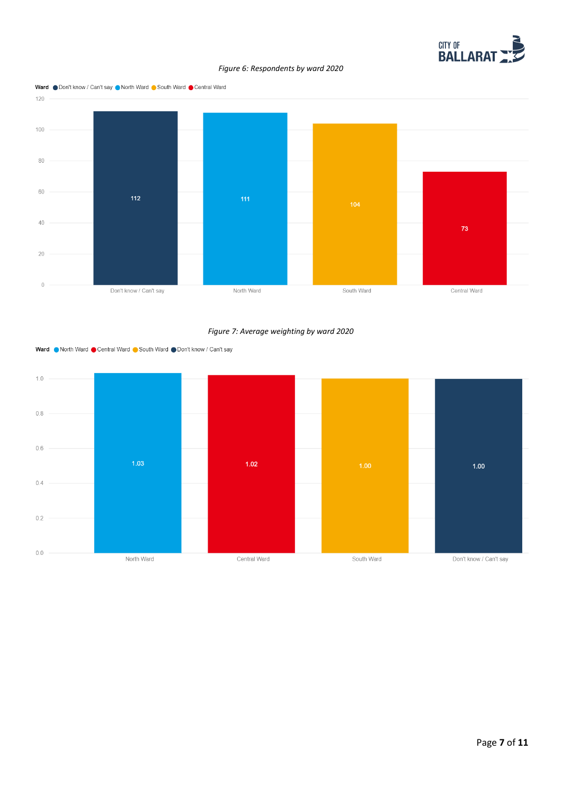

#### *Figure 6: Respondents by ward 2020*



*Figure 7: Average weighting by ward 2020*



Ward North Ward Central Ward South Ward ODon't know / Can't say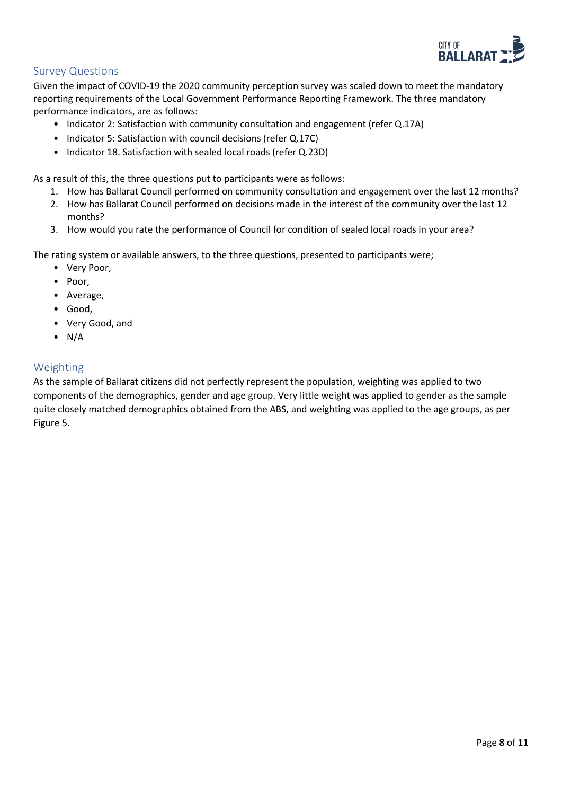

#### <span id="page-7-0"></span>Survey Questions

Given the impact of COVID-19 the 2020 community perception survey was scaled down to meet the mandatory reporting requirements of the Local Government Performance Reporting Framework. The three mandatory performance indicators, are as follows:

- Indicator 2: Satisfaction with community consultation and engagement (refer Q.17A)
- Indicator 5: Satisfaction with council decisions (refer Q.17C)
- Indicator 18. Satisfaction with sealed local roads (refer Q.23D)

As a result of this, the three questions put to participants were as follows:

- 1. How has Ballarat Council performed on community consultation and engagement over the last 12 months?
- 2. How has Ballarat Council performed on decisions made in the interest of the community over the last 12 months?
- 3. How would you rate the performance of Council for condition of sealed local roads in your area?

The rating system or available answers, to the three questions, presented to participants were;

- Very Poor,
- Poor,
- Average,
- Good,
- Very Good, and
- $\bullet$  N/A

#### <span id="page-7-1"></span>Weighting

As the sample of Ballarat citizens did not perfectly represent the population, weighting was applied to two components of the demographics, gender and age group. Very little weight was applied to gender as the sample quite closely matched demographics obtained from the ABS, and weighting was applied to the age groups, as per Figure 5.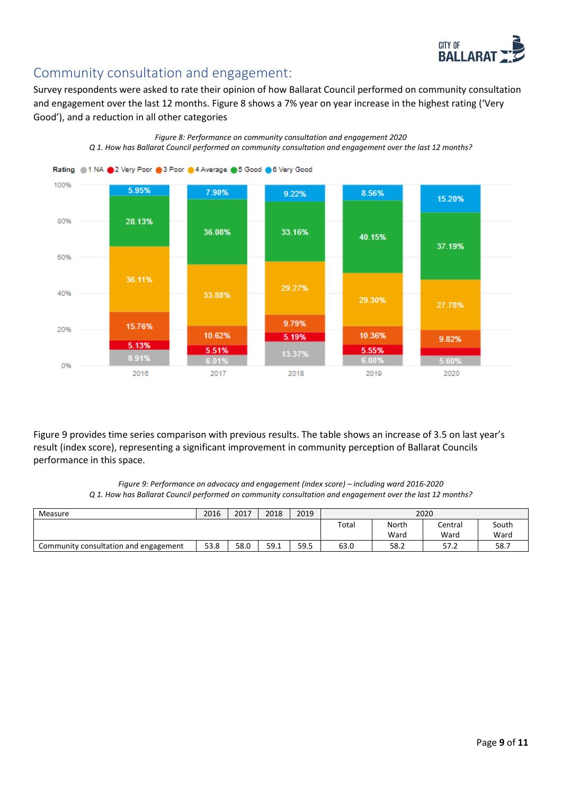

# <span id="page-8-0"></span>Community consultation and engagement:

Survey respondents were asked to rate their opinion of how Ballarat Council performed on community consultation and engagement over the last 12 months. Figure 8 shows a 7% year on year increase in the highest rating ('Very Good'), and a reduction in all other categories

*Figure 8: Performance on community consultation and engagement 2020*



Figure 9 provides time series comparison with previous results. The table shows an increase of 3.5 on last year's result (index score), representing a significant improvement in community perception of Ballarat Councils performance in this space.

> *Figure 9: Performance on advocacy and engagement (index score) – including ward 2016-2020 Q 1. How has Ballarat Council performed on community consultation and engagement over the last 12 months?*

| Measure                               | 2016 | 2017 | 2018 | 2019 | 2020 |       |         |       |
|---------------------------------------|------|------|------|------|------|-------|---------|-------|
|                                       |      |      |      |      |      | North | Central | South |
|                                       |      |      |      |      |      | Ward  | Ward    | Ward  |
| Community consultation and engagement | 53.8 | 58.0 | 59.1 | 59.5 | 63.0 | 58.2  | 57.2    | 58.7  |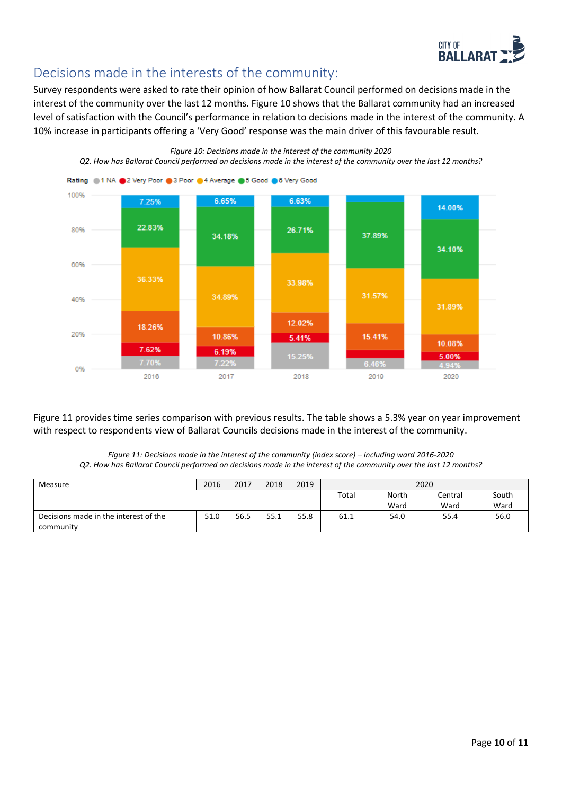

# <span id="page-9-0"></span>Decisions made in the interests of the community:

Survey respondents were asked to rate their opinion of how Ballarat Council performed on decisions made in the interest of the community over the last 12 months. Figure 10 shows that the Ballarat community had an increased level of satisfaction with the Council's performance in relation to decisions made in the interest of the community. A 10% increase in participants offering a 'Very Good' response was the main driver of this favourable result.

*Figure 10: Decisions made in the interest of the community 2020*

*Q2. How has Ballarat Council performed on decisions made in the interest of the community over the last 12 months?*



Figure 11 provides time series comparison with previous results. The table shows a 5.3% year on year improvement with respect to respondents view of Ballarat Councils decisions made in the interest of the community.

*Figure 11: Decisions made in the interest of the community (index score) – including ward 2016-2020 Q2. How has Ballarat Council performed on decisions made in the interest of the community over the last 12 months?*

| Measure                               | 2016 | 2017 | 2018 | 2019 | 2020 |       |         |       |
|---------------------------------------|------|------|------|------|------|-------|---------|-------|
|                                       |      |      |      |      |      | North | Central | South |
|                                       |      |      |      |      |      | Ward  | Ward    | Ward  |
| Decisions made in the interest of the | 51.0 | 56.5 | 55.1 | 55.8 | 61.1 | 54.0  | 55.4    | 56.0  |
| community                             |      |      |      |      |      |       |         |       |